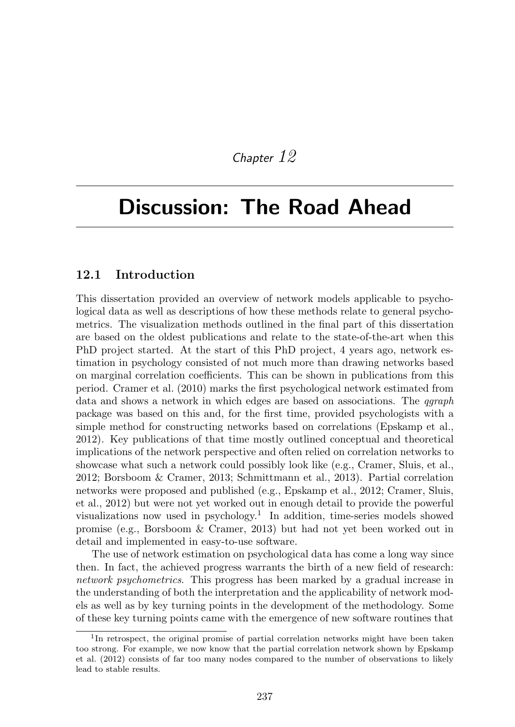# *Chapter 12*

# Discussion: The Road Ahead

## 12.1 Introduction

This dissertation provided an overview of network models applicable to psychological data as well as descriptions of how these methods relate to general psychometrics. The visualization methods outlined in the final part of this dissertation are based on the oldest publications and relate to the state-of-the-art when this PhD project started. At the start of this PhD project, 4 years ago, network estimation in psychology consisted of not much more than drawing networks based on marginal correlation coefficients. This can be shown in publications from this period. Cramer et al. (2010) marks the first psychological network estimated from data and shows a network in which edges are based on associations. The *qgraph* package was based on this and, for the first time, provided psychologists with a simple method for constructing networks based on correlations (Epskamp et al., 2012). Key publications of that time mostly outlined conceptual and theoretical implications of the network perspective and often relied on correlation networks to showcase what such a network could possibly look like (e.g., Cramer, Sluis, et al., 2012; Borsboom & Cramer, 2013; Schmittmann et al., 2013). Partial correlation networks were proposed and published (e.g., Epskamp et al., 2012; Cramer, Sluis, et al., 2012) but were not yet worked out in enough detail to provide the powerful visualizations now used in  $psychology.<sup>1</sup>$  In addition, time-series models showed promise (e.g., Borsboom & Cramer, 2013) but had not yet been worked out in detail and implemented in easy-to-use software.

The use of network estimation on psychological data has come a long way since then. In fact, the achieved progress warrants the birth of a new field of research: *network psychometrics*. This progress has been marked by a gradual increase in the understanding of both the interpretation and the applicability of network models as well as by key turning points in the development of the methodology. Some of these key turning points came with the emergence of new software routines that

<sup>&</sup>lt;sup>1</sup>In retrospect, the original promise of partial correlation networks might have been taken too strong. For example, we now know that the partial correlation network shown by Epskamp et al. (2012) consists of far too many nodes compared to the number of observations to likely lead to stable results.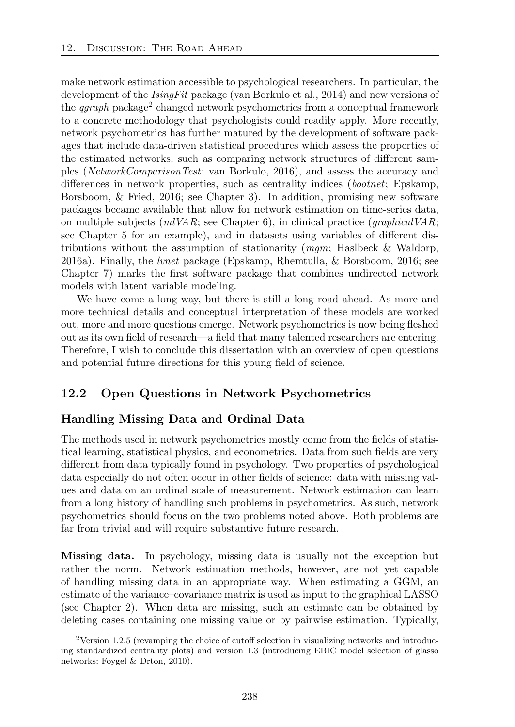make network estimation accessible to psychological researchers. In particular, the development of the *IsingFit* package (van Borkulo et al., 2014) and new versions of the *garaph* package<sup>2</sup> changed network psychometrics from a conceptual framework to a concrete methodology that psychologists could readily apply. More recently, network psychometrics has further matured by the development of software packages that include data-driven statistical procedures which assess the properties of the estimated networks, such as comparing network structures of different samples (*NetworkComparisonTest*; van Borkulo, 2016), and assess the accuracy and differences in network properties, such as centrality indices (*bootnet*; Epskamp, Borsboom, & Fried, 2016; see Chapter 3). In addition, promising new software packages became available that allow for network estimation on time-series data, on multiple subjects (*mlVAR*; see Chapter 6), in clinical practice (*graphicalVAR*; see Chapter 5 for an example), and in datasets using variables of different distributions without the assumption of stationarity (*mgm*; Haslbeck & Waldorp, 2016a). Finally, the *lvnet* package (Epskamp, Rhemtulla, & Borsboom, 2016; see Chapter 7) marks the first software package that combines undirected network models with latent variable modeling.

We have come a long way, but there is still a long road ahead. As more and more technical details and conceptual interpretation of these models are worked out, more and more questions emerge. Network psychometrics is now being fleshed out as its own field of research—a field that many talented researchers are entering. Therefore, I wish to conclude this dissertation with an overview of open questions and potential future directions for this young field of science.

# 12.2 Open Questions in Network Psychometrics

#### Handling Missing Data and Ordinal Data

The methods used in network psychometrics mostly come from the fields of statistical learning, statistical physics, and econometrics. Data from such fields are very different from data typically found in psychology. Two properties of psychological data especially do not often occur in other fields of science: data with missing values and data on an ordinal scale of measurement. Network estimation can learn from a long history of handling such problems in psychometrics. As such, network psychometrics should focus on the two problems noted above. Both problems are far from trivial and will require substantive future research.

Missing data. In psychology, missing data is usually not the exception but rather the norm. Network estimation methods, however, are not yet capable of handling missing data in an appropriate way. When estimating a GGM, an estimate of the variance–covariance matrix is used as input to the graphical LASSO (see Chapter 2). When data are missing, such an estimate can be obtained by deleting cases containing one missing value or by pairwise estimation. Typically,

 $2$ Version 1.2.5 (revamping the choice of cutoff selection in visualizing networks and introducing standardized centrality plots) and version 1.3 (introducing EBIC model selection of glasso networks; Foygel & Drton, 2010).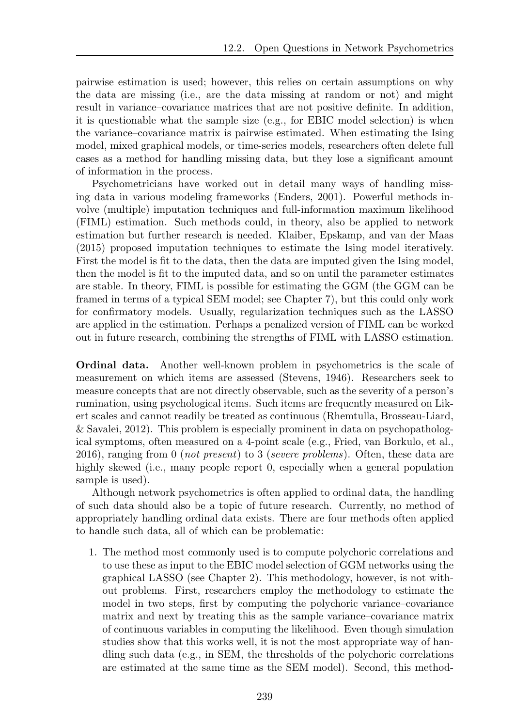pairwise estimation is used; however, this relies on certain assumptions on why the data are missing (i.e., are the data missing at random or not) and might result in variance–covariance matrices that are not positive definite. In addition, it is questionable what the sample size (e.g., for EBIC model selection) is when the variance–covariance matrix is pairwise estimated. When estimating the Ising model, mixed graphical models, or time-series models, researchers often delete full cases as a method for handling missing data, but they lose a significant amount of information in the process.

Psychometricians have worked out in detail many ways of handling missing data in various modeling frameworks (Enders, 2001). Powerful methods involve (multiple) imputation techniques and full-information maximum likelihood (FIML) estimation. Such methods could, in theory, also be applied to network estimation but further research is needed. Klaiber, Epskamp, and van der Maas (2015) proposed imputation techniques to estimate the Ising model iteratively. First the model is fit to the data, then the data are imputed given the Ising model, then the model is fit to the imputed data, and so on until the parameter estimates are stable. In theory, FIML is possible for estimating the GGM (the GGM can be framed in terms of a typical SEM model; see Chapter 7), but this could only work for confirmatory models. Usually, regularization techniques such as the LASSO are applied in the estimation. Perhaps a penalized version of FIML can be worked out in future research, combining the strengths of FIML with LASSO estimation.

Ordinal data. Another well-known problem in psychometrics is the scale of measurement on which items are assessed (Stevens, 1946). Researchers seek to measure concepts that are not directly observable, such as the severity of a person's rumination, using psychological items. Such items are frequently measured on Likert scales and cannot readily be treated as continuous (Rhemtulla, Brosseau-Liard, & Savalei, 2012). This problem is especially prominent in data on psychopathological symptoms, often measured on a 4-point scale (e.g., Fried, van Borkulo, et al., 2016), ranging from 0 (*not present*) to 3 (*severe problems*). Often, these data are highly skewed (i.e., many people report 0, especially when a general population sample is used).

Although network psychometrics is often applied to ordinal data, the handling of such data should also be a topic of future research. Currently, no method of appropriately handling ordinal data exists. There are four methods often applied to handle such data, all of which can be problematic:

1. The method most commonly used is to compute polychoric correlations and to use these as input to the EBIC model selection of GGM networks using the graphical LASSO (see Chapter 2). This methodology, however, is not without problems. First, researchers employ the methodology to estimate the model in two steps, first by computing the polychoric variance–covariance matrix and next by treating this as the sample variance–covariance matrix of continuous variables in computing the likelihood. Even though simulation studies show that this works well, it is not the most appropriate way of handling such data (e.g., in SEM, the thresholds of the polychoric correlations are estimated at the same time as the SEM model). Second, this method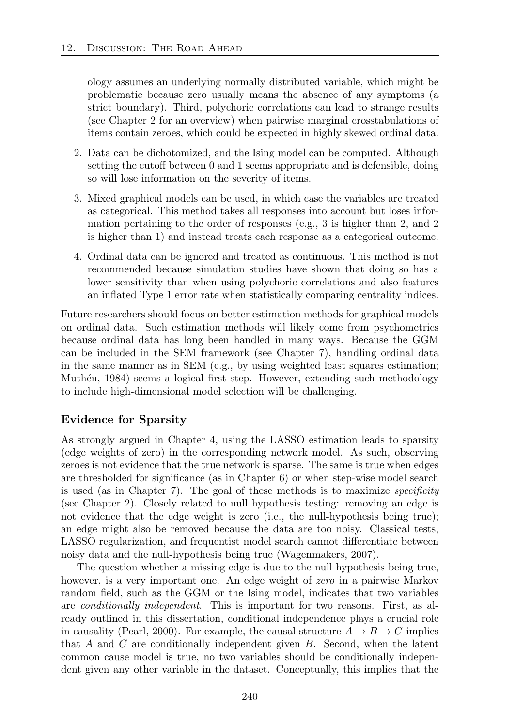ology assumes an underlying normally distributed variable, which might be problematic because zero usually means the absence of any symptoms (a strict boundary). Third, polychoric correlations can lead to strange results (see Chapter 2 for an overview) when pairwise marginal crosstabulations of items contain zeroes, which could be expected in highly skewed ordinal data.

- 2. Data can be dichotomized, and the Ising model can be computed. Although setting the cutoff between 0 and 1 seems appropriate and is defensible, doing so will lose information on the severity of items.
- 3. Mixed graphical models can be used, in which case the variables are treated as categorical. This method takes all responses into account but loses information pertaining to the order of responses (e.g., 3 is higher than 2, and 2 is higher than 1) and instead treats each response as a categorical outcome.
- 4. Ordinal data can be ignored and treated as continuous. This method is not recommended because simulation studies have shown that doing so has a lower sensitivity than when using polychoric correlations and also features an inflated Type 1 error rate when statistically comparing centrality indices.

Future researchers should focus on better estimation methods for graphical models on ordinal data. Such estimation methods will likely come from psychometrics because ordinal data has long been handled in many ways. Because the GGM can be included in the SEM framework (see Chapter 7), handling ordinal data in the same manner as in SEM (e.g., by using weighted least squares estimation; Muthén, 1984) seems a logical first step. However, extending such methodology to include high-dimensional model selection will be challenging.

#### Evidence for Sparsity

As strongly argued in Chapter 4, using the LASSO estimation leads to sparsity (edge weights of zero) in the corresponding network model. As such, observing zeroes is not evidence that the true network is sparse. The same is true when edges are thresholded for significance (as in Chapter 6) or when step-wise model search is used (as in Chapter 7). The goal of these methods is to maximize *specificity* (see Chapter 2). Closely related to null hypothesis testing: removing an edge is not evidence that the edge weight is zero (i.e., the null-hypothesis being true); an edge might also be removed because the data are too noisy. Classical tests, LASSO regularization, and frequentist model search cannot differentiate between noisy data and the null-hypothesis being true (Wagenmakers, 2007).

The question whether a missing edge is due to the null hypothesis being true, however, is a very important one. An edge weight of *zero* in a pairwise Markov random field, such as the GGM or the Ising model, indicates that two variables are *conditionally independent*. This is important for two reasons. First, as already outlined in this dissertation, conditional independence plays a crucial role in causality (Pearl, 2000). For example, the causal structure  $A \rightarrow B \rightarrow C$  implies that *A* and *C* are conditionally independent given *B*. Second, when the latent common cause model is true, no two variables should be conditionally independent given any other variable in the dataset. Conceptually, this implies that the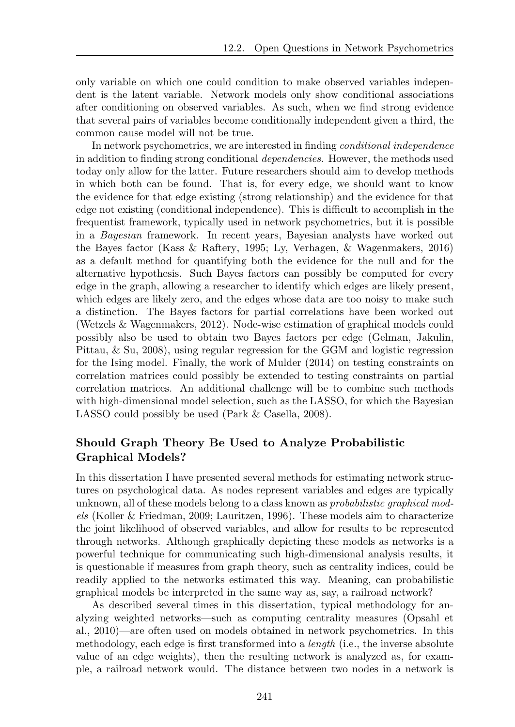only variable on which one could condition to make observed variables independent is the latent variable. Network models only show conditional associations after conditioning on observed variables. As such, when we find strong evidence that several pairs of variables become conditionally independent given a third, the common cause model will not be true.

In network psychometrics, we are interested in finding *conditional independence* in addition to finding strong conditional *dependencies*. However, the methods used today only allow for the latter. Future researchers should aim to develop methods in which both can be found. That is, for every edge, we should want to know the evidence for that edge existing (strong relationship) and the evidence for that edge not existing (conditional independence). This is difficult to accomplish in the frequentist framework, typically used in network psychometrics, but it is possible in a *Bayesian* framework. In recent years, Bayesian analysts have worked out the Bayes factor (Kass & Raftery, 1995; Ly, Verhagen, & Wagenmakers, 2016) as a default method for quantifying both the evidence for the null and for the alternative hypothesis. Such Bayes factors can possibly be computed for every edge in the graph, allowing a researcher to identify which edges are likely present, which edges are likely zero, and the edges whose data are too noisy to make such a distinction. The Bayes factors for partial correlations have been worked out (Wetzels & Wagenmakers, 2012). Node-wise estimation of graphical models could possibly also be used to obtain two Bayes factors per edge (Gelman, Jakulin, Pittau, & Su, 2008), using regular regression for the GGM and logistic regression for the Ising model. Finally, the work of Mulder (2014) on testing constraints on correlation matrices could possibly be extended to testing constraints on partial correlation matrices. An additional challenge will be to combine such methods with high-dimensional model selection, such as the LASSO, for which the Bayesian LASSO could possibly be used (Park & Casella, 2008).

# Should Graph Theory Be Used to Analyze Probabilistic Graphical Models?

In this dissertation I have presented several methods for estimating network structures on psychological data. As nodes represent variables and edges are typically unknown, all of these models belong to a class known as *probabilistic graphical models* (Koller & Friedman, 2009; Lauritzen, 1996). These models aim to characterize the joint likelihood of observed variables, and allow for results to be represented through networks. Although graphically depicting these models as networks is a powerful technique for communicating such high-dimensional analysis results, it is questionable if measures from graph theory, such as centrality indices, could be readily applied to the networks estimated this way. Meaning, can probabilistic graphical models be interpreted in the same way as, say, a railroad network?

As described several times in this dissertation, typical methodology for analyzing weighted networks—such as computing centrality measures (Opsahl et al., 2010)—are often used on models obtained in network psychometrics. In this methodology, each edge is first transformed into a *length* (i.e., the inverse absolute value of an edge weights), then the resulting network is analyzed as, for example, a railroad network would. The distance between two nodes in a network is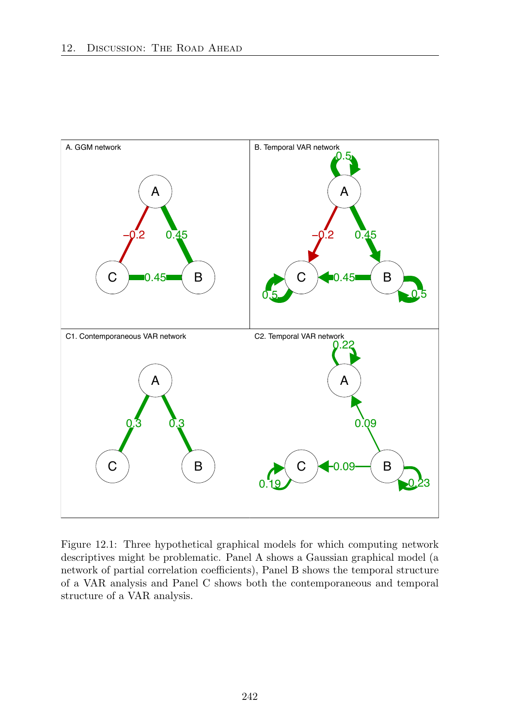

Figure 12.1: Three hypothetical graphical models for which computing network descriptives might be problematic. Panel A shows a Gaussian graphical model (a network of partial correlation coefficients), Panel B shows the temporal structure of a VAR analysis and Panel C shows both the contemporaneous and temporal structure of a VAR analysis.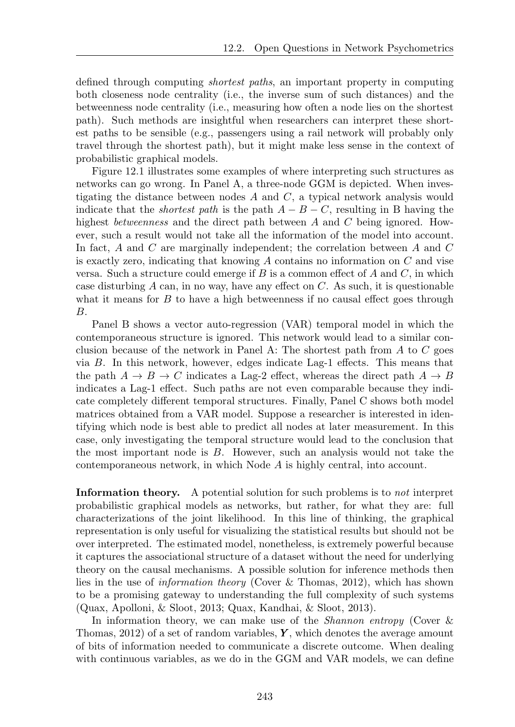defined through computing *shortest paths*, an important property in computing both closeness node centrality (i.e., the inverse sum of such distances) and the betweenness node centrality (i.e., measuring how often a node lies on the shortest path). Such methods are insightful when researchers can interpret these shortest paths to be sensible (e.g., passengers using a rail network will probably only travel through the shortest path), but it might make less sense in the context of probabilistic graphical models.

Figure 12.1 illustrates some examples of where interpreting such structures as networks can go wrong. In Panel A, a three-node GGM is depicted. When investigating the distance between nodes *A* and *C*, a typical network analysis would indicate that the *shortest path* is the path  $A - B - C$ , resulting in B having the highest *betweenness* and the direct path between *A* and *C* being ignored. However, such a result would not take all the information of the model into account. In fact, *A* and *C* are marginally independent; the correlation between *A* and *C* is exactly zero, indicating that knowing *A* contains no information on *C* and vise versa. Such a structure could emerge if  $B$  is a common effect of  $A$  and  $C$ , in which case disturbing  $A$  can, in no way, have any effect on  $C$ . As such, it is questionable what it means for  $B$  to have a high betweenness if no causal effect goes through *B*.

Panel B shows a vector auto-regression (VAR) temporal model in which the contemporaneous structure is ignored. This network would lead to a similar conclusion because of the network in Panel A: The shortest path from *A* to *C* goes via  $B$ . In this network, however, edges indicate Lag-1 effects. This means that the path  $A \rightarrow B \rightarrow C$  indicates a Lag-2 effect, whereas the direct path  $A \rightarrow B$ indicates a Lag-1 effect. Such paths are not even comparable because they indicate completely different temporal structures. Finally, Panel C shows both model matrices obtained from a VAR model. Suppose a researcher is interested in identifying which node is best able to predict all nodes at later measurement. In this case, only investigating the temporal structure would lead to the conclusion that the most important node is *B*. However, such an analysis would not take the contemporaneous network, in which Node *A* is highly central, into account.

Information theory. A potential solution for such problems is to *not* interpret probabilistic graphical models as networks, but rather, for what they are: full characterizations of the joint likelihood. In this line of thinking, the graphical representation is only useful for visualizing the statistical results but should not be over interpreted. The estimated model, nonetheless, is extremely powerful because it captures the associational structure of a dataset without the need for underlying theory on the causal mechanisms. A possible solution for inference methods then lies in the use of *information theory* (Cover & Thomas, 2012), which has shown to be a promising gateway to understanding the full complexity of such systems (Quax, Apolloni, & Sloot, 2013; Quax, Kandhai, & Sloot, 2013).

In information theory, we can make use of the *Shannon entropy* (Cover & Thomas, 2012) of a set of random variables, *Y* , which denotes the average amount of bits of information needed to communicate a discrete outcome. When dealing with continuous variables, as we do in the GGM and VAR models, we can define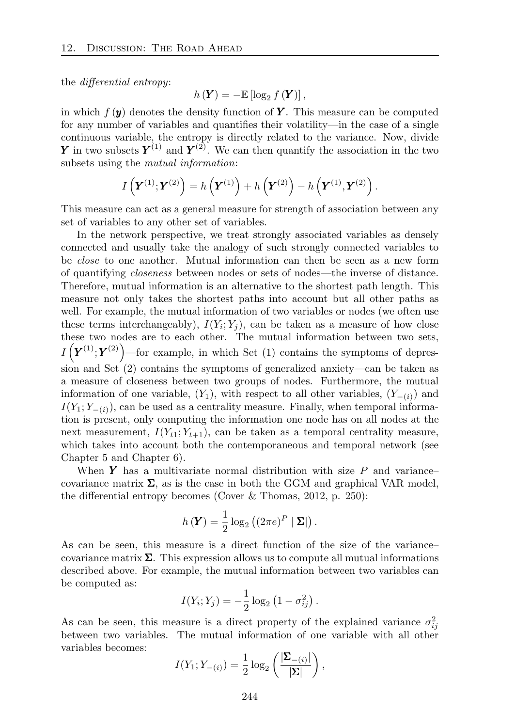the *differential* entropy:

$$
h\left(\mathbf{Y}\right)=-\mathbb{E}\left[\log_2 f\left(\mathbf{Y}\right)\right],
$$

in which  $f(\mathbf{y})$  denotes the density function of **Y**. This measure can be computed for any number of variables and quantifies their volatility—in the case of a single continuous variable, the entropy is directly related to the variance. Now, divide *Y* in two subsets  $Y^{(1)}$  and  $Y^{(2)}$ . We can then quantify the association in the two subsets using the *mutual information*:

$$
I\left(\bm{Y}^{(1)};\bm{Y}^{(2)}\right) = h\left(\bm{Y}^{(1)}\right) + h\left(\bm{Y}^{(2)}\right) - h\left(\bm{Y}^{(1)},\bm{Y}^{(2)}\right).
$$

This measure can act as a general measure for strength of association between any set of variables to any other set of variables.

In the network perspective, we treat strongly associated variables as densely connected and usually take the analogy of such strongly connected variables to be *close* to one another. Mutual information can then be seen as a new form of quantifying *closeness* between nodes or sets of nodes—the inverse of distance. Therefore, mutual information is an alternative to the shortest path length. This measure not only takes the shortest paths into account but all other paths as well. For example, the mutual information of two variables or nodes (we often use these terms interchangeably),  $I(Y_i; Y_j)$ , can be taken as a measure of how close these two nodes are to each other. The mutual information between two sets,  $I(\mathbf{Y}^{(1)}; \mathbf{Y}^{(2)})$  —for example, in which Set (1) contains the symptoms of depression and Set (2) contains the symptoms of generalized anxiety—can be taken as a measure of closeness between two groups of nodes. Furthermore, the mutual information of one variable,  $(Y_1)$ , with respect to all other variables,  $(Y_-(i))$  and  $I(Y_1; Y_{-\{i\}})$ , can be used as a centrality measure. Finally, when temporal information is present, only computing the information one node has on all nodes at the next measurement,  $I(Y_{t1}; Y_{t+1})$ , can be taken as a temporal centrality measure, which takes into account both the contemporaneous and temporal network (see Chapter 5 and Chapter 6).

When *Y* has a multivariate normal distribution with size *P* and variance– covariance matrix  $\Sigma$ , as is the case in both the GGM and graphical VAR model, the differential entropy becomes (Cover  $\&$  Thomas, 2012, p. 250):

$$
h(\mathbf{Y}) = \frac{1}{2} \log_2 \left( \left( 2 \pi e \right)^P | \mathbf{\Sigma} | \right).
$$

As can be seen, this measure is a direct function of the size of the variance– covariance matrix  $\Sigma$ . This expression allows us to compute all mutual informations described above. For example, the mutual information between two variables can be computed as:

$$
I(Y_i; Y_j) = -\frac{1}{2} \log_2 (1 - \sigma_{ij}^2).
$$

As can be seen, this measure is a direct property of the explained variance  $\sigma_{ij}^2$ between two variables. The mutual information of one variable with all other variables becomes:

$$
I(Y_1; Y_{-(i)}) = \frac{1}{2} \log_2 \left( \frac{|\mathbf{\Sigma}_{-(i)}|}{|\mathbf{\Sigma}|} \right),
$$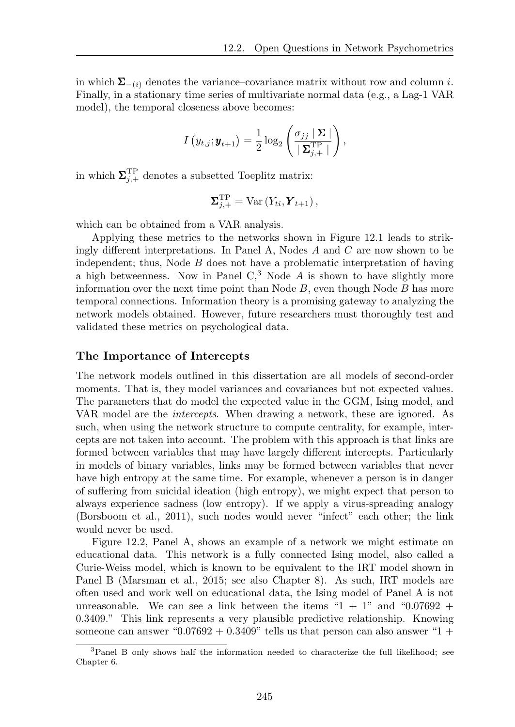in which  $\Sigma_{-(i)}$  denotes the variance–covariance matrix without row and column *i*. Finally, in a stationary time series of multivariate normal data (e.g., a Lag-1 VAR model), the temporal closeness above becomes:

$$
I\left(y_{t,j};\boldsymbol{y}_{t+1}\right) = \frac{1}{2}\log_2\left(\frac{\sigma_{jj} \mid \boldsymbol{\Sigma} \mid}{\mid \boldsymbol{\Sigma}_{j,+}^{\textrm{TP}} \mid}\right),\,
$$

in which  $\Sigma_{j,+}^{\text{TP}}$  denotes a subsetted Toeplitz matrix:

$$
\mathbf{\Sigma}_{j,+}^{\mathrm{TP}} = \mathrm{Var}\left(Y_{ti}, \mathbf{Y}_{t+1}\right),
$$

which can be obtained from a VAR analysis.

Applying these metrics to the networks shown in Figure 12.1 leads to strikingly different interpretations. In Panel  $A$ , Nodes  $A$  and  $C$  are now shown to be independent; thus, Node *B* does not have a problematic interpretation of having a high betweenness. Now in Panel  $C<sup>3</sup>$  Node  $A$  is shown to have slightly more information over the next time point than Node *B*, even though Node *B* has more temporal connections. Information theory is a promising gateway to analyzing the network models obtained. However, future researchers must thoroughly test and validated these metrics on psychological data.

#### The Importance of Intercepts

The network models outlined in this dissertation are all models of second-order moments. That is, they model variances and covariances but not expected values. The parameters that do model the expected value in the GGM, Ising model, and VAR model are the *intercepts*. When drawing a network, these are ignored. As such, when using the network structure to compute centrality, for example, intercepts are not taken into account. The problem with this approach is that links are formed between variables that may have largely different intercepts. Particularly in models of binary variables, links may be formed between variables that never have high entropy at the same time. For example, whenever a person is in danger of suffering from suicidal ideation (high entropy), we might expect that person to always experience sadness (low entropy). If we apply a virus-spreading analogy (Borsboom et al., 2011), such nodes would never "infect" each other; the link would never be used.

Figure 12.2, Panel A, shows an example of a network we might estimate on educational data. This network is a fully connected Ising model, also called a Curie-Weiss model, which is known to be equivalent to the IRT model shown in Panel B (Marsman et al., 2015; see also Chapter 8). As such, IRT models are often used and work well on educational data, the Ising model of Panel A is not unreasonable. We can see a link between the items " $1 + 1$ " and "0.07692 + 0.3409." This link represents a very plausible predictive relationship. Knowing someone can answer "0.07692 + 0.3409" tells us that person can also answer "1 +

<sup>3</sup>Panel B only shows half the information needed to characterize the full likelihood; see Chapter 6.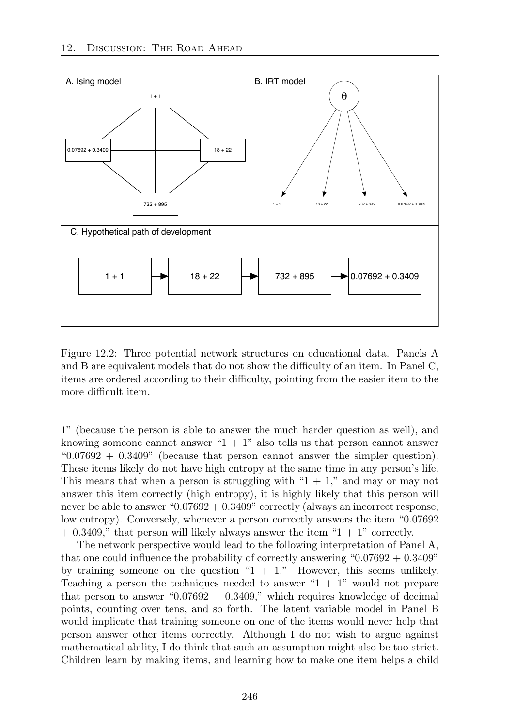

Figure 12.2: Three potential network structures on educational data. Panels A and B are equivalent models that do not show the difficulty of an item. In Panel C, items are ordered according to their difficulty, pointing from the easier item to the more difficult item.

1" (because the person is able to answer the much harder question as well), and knowing someone cannot answer " $1 + 1$ " also tells us that person cannot answer " $0.07692 + 0.3409$ " (because that person cannot answer the simpler question). These items likely do not have high entropy at the same time in any person's life. This means that when a person is struggling with " $1 + 1$ ," and may or may not answer this item correctly (high entropy), it is highly likely that this person will never be able to answer "0.07692 + 0.3409" correctly (always an incorrect response; low entropy). Conversely, whenever a person correctly answers the item "0.07692  $+$  0.3409," that person will likely always answer the item "1 + 1" correctly.

The network perspective would lead to the following interpretation of Panel A, that one could influence the probability of correctly answering " $0.07692 + 0.3409$ " by training someone on the question " $1 + 1$ ." However, this seems unlikely. Teaching a person the techniques needed to answer " $1 + 1$ " would not prepare that person to answer " $0.07692 + 0.3409$ ," which requires knowledge of decimal points, counting over tens, and so forth. The latent variable model in Panel B would implicate that training someone on one of the items would never help that person answer other items correctly. Although I do not wish to argue against mathematical ability, I do think that such an assumption might also be too strict. Children learn by making items, and learning how to make one item helps a child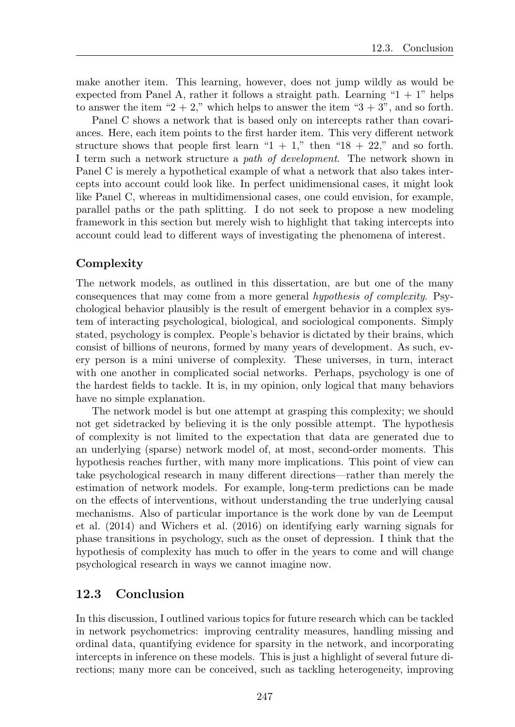make another item. This learning, however, does not jump wildly as would be expected from Panel A, rather it follows a straight path. Learning " $1 + 1$ " helps to answer the item "2 + 2," which helps to answer the item "3 + 3", and so forth.

Panel C shows a network that is based only on intercepts rather than covariances. Here, each item points to the first harder item. This very different network structure shows that people first learn " $1 + 1$ ," then " $18 + 22$ ," and so forth. I term such a network structure a *path of development*. The network shown in Panel C is merely a hypothetical example of what a network that also takes intercepts into account could look like. In perfect unidimensional cases, it might look like Panel C, whereas in multidimensional cases, one could envision, for example, parallel paths or the path splitting. I do not seek to propose a new modeling framework in this section but merely wish to highlight that taking intercepts into account could lead to different ways of investigating the phenomena of interest.

#### **Complexity**

The network models, as outlined in this dissertation, are but one of the many consequences that may come from a more general *hypothesis of complexity*. Psychological behavior plausibly is the result of emergent behavior in a complex system of interacting psychological, biological, and sociological components. Simply stated, psychology is complex. People's behavior is dictated by their brains, which consist of billions of neurons, formed by many years of development. As such, every person is a mini universe of complexity. These universes, in turn, interact with one another in complicated social networks. Perhaps, psychology is one of the hardest fields to tackle. It is, in my opinion, only logical that many behaviors have no simple explanation.

The network model is but one attempt at grasping this complexity; we should not get sidetracked by believing it is the only possible attempt. The hypothesis of complexity is not limited to the expectation that data are generated due to an underlying (sparse) network model of, at most, second-order moments. This hypothesis reaches further, with many more implications. This point of view can take psychological research in many different directions—rather than merely the estimation of network models. For example, long-term predictions can be made on the effects of interventions, without understanding the true underlying causal mechanisms. Also of particular importance is the work done by van de Leemput et al. (2014) and Wichers et al. (2016) on identifying early warning signals for phase transitions in psychology, such as the onset of depression. I think that the hypothesis of complexity has much to offer in the years to come and will change psychological research in ways we cannot imagine now.

## 12.3 Conclusion

In this discussion, I outlined various topics for future research which can be tackled in network psychometrics: improving centrality measures, handling missing and ordinal data, quantifying evidence for sparsity in the network, and incorporating intercepts in inference on these models. This is just a highlight of several future directions; many more can be conceived, such as tackling heterogeneity, improving